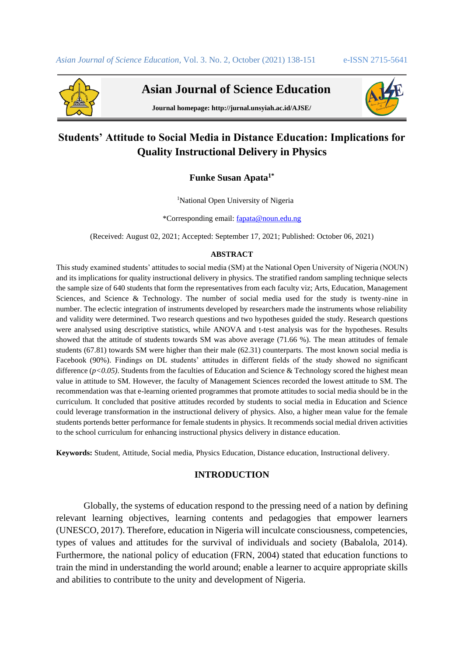

 **Asian Journal of Science Education**



**Journal homepage: http://jurnal.unsyiah.ac.id/AJSE/**

# **Students' Attitude to Social Media in Distance Education: Implications for Quality Instructional Delivery in Physics**

**Funke Susan Apata1\***

<sup>1</sup>National Open University of Nigeria

\*Corresponding email: [fapata@noun.edu.ng](mailto:fapata@noun.edu.ng)

(Received: August 02, 2021; Accepted: September 17, 2021; Published: October 06, 2021)

#### **ABSTRACT**

This study examined students' attitudes to social media (SM) at the National Open University of Nigeria (NOUN) and its implications for quality instructional delivery in physics. The stratified random sampling technique selects the sample size of 640 students that form the representatives from each faculty viz; Arts, Education, Management Sciences, and Science & Technology. The number of social media used for the study is twenty-nine in number. The eclectic integration of instruments developed by researchers made the instruments whose reliability and validity were determined. Two research questions and two hypotheses guided the study. Research questions were analysed using descriptive statistics, while ANOVA and t-test analysis was for the hypotheses. Results showed that the attitude of students towards SM was above average (71.66 %). The mean attitudes of female students (67.81) towards SM were higher than their male (62.31) counterparts. The most known social media is Facebook (90%). Findings on DL students' attitudes in different fields of the study showed no significant difference ( $p$ <0.05). Students from the faculties of Education and Science & Technology scored the highest mean value in attitude to SM. However, the faculty of Management Sciences recorded the lowest attitude to SM. The recommendation was that e-learning oriented programmes that promote attitudes to social media should be in the curriculum. It concluded that positive attitudes recorded by students to social media in Education and Science could leverage transformation in the instructional delivery of physics. Also, a higher mean value for the female students portends better performance for female students in physics. It recommends social medial driven activities to the school curriculum for enhancing instructional physics delivery in distance education.

**Keywords:** Student, Attitude, Social media, Physics Education, Distance education, Instructional delivery.

### **INTRODUCTION**

Globally, the systems of education respond to the pressing need of a nation by defining relevant learning objectives, learning contents and pedagogies that empower learners (UNESCO, 2017). Therefore, education in Nigeria will inculcate consciousness, competencies, types of values and attitudes for the survival of individuals and society (Babalola, 2014). Furthermore, the national policy of education (FRN, 2004) stated that education functions to train the mind in understanding the world around; enable a learner to acquire appropriate skills and abilities to contribute to the unity and development of Nigeria.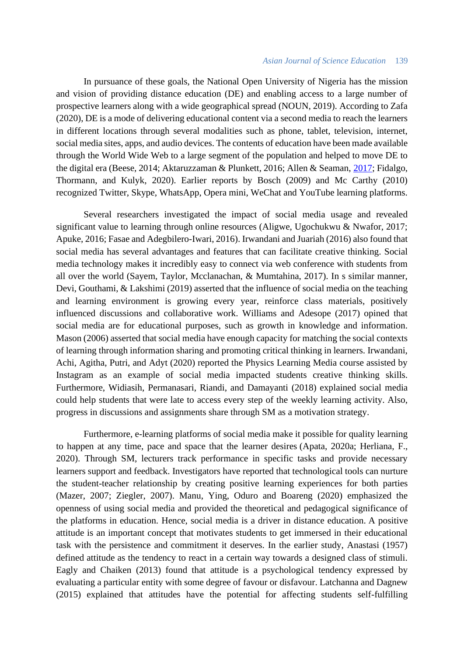### *Asian Journal of Science Education* 139

In pursuance of these goals, the National Open University of Nigeria has the mission and vision of providing distance education (DE) and enabling access to a large number of prospective learners along with a wide geographical spread (NOUN, 2019). According to Zafa (2020), DE is a mode of delivering educational content via a second media to reach the learners in different locations through several modalities such as phone, tablet, television, internet, social media sites, apps, and audio devices. The contents of education have been made available through the World Wide Web to a large segment of the population and helped to move DE to the digital era (Beese, 2014; Aktaruzzaman & Plunkett, 2016; Allen & Seaman, [2017;](https://educationaltechnologyjournal.springeropen.com/articles/10.1186/s41239-020-00194-2#ref-CR3) Fidalgo, Thormann, and Kulyk, 2020). Earlier reports by Bosch (2009) and Mc Carthy (2010) recognized Twitter, Skype, WhatsApp, Opera mini, WeChat and YouTube learning platforms.

Several researchers investigated the impact of social media usage and revealed significant value to learning through online resources (Aligwe, Ugochukwu & Nwafor, 2017; Apuke, 2016; Fasae and Adegbilero-Iwari, 2016). Irwandani and Juariah (2016) also found that social media has several advantages and features that can facilitate creative thinking. Social media technology makes it incredibly easy to connect via web conference with students from all over the world (Sayem, Taylor, Mcclanachan, & Mumtahina, 2017). In s similar manner, Devi, Gouthami, & Lakshimi (2019) asserted that the influence of social media on the teaching and learning environment is growing every year, reinforce class materials, positively influenced discussions and collaborative work. Williams and Adesope (2017) opined that social media are for educational purposes, such as growth in knowledge and information. Mason (2006) asserted that social media have enough capacity for matching the social contexts of learning through information sharing and promoting critical thinking in learners. Irwandani, Achi, Agitha, Putri, and Adyt (2020) reported the Physics Learning Media course assisted by Instagram as an example of social media impacted students creative thinking skills. Furthermore, Widiasih, Permanasari, Riandi, and Damayanti (2018) explained social media could help students that were late to access every step of the weekly learning activity. Also, progress in discussions and assignments share through SM as a motivation strategy.

Furthermore, e-learning platforms of social media make it possible for quality learning to happen at any time, pace and space that the learner desires (Apata, 2020a; Herliana, F., 2020). Through SM, lecturers track performance in specific tasks and provide necessary learners support and feedback. Investigators have reported that technological tools can nurture the student-teacher relationship by creating positive learning experiences for both parties (Mazer, 2007; Ziegler, 2007). Manu, Ying, Oduro and Boareng (2020) emphasized the openness of using social media and provided the theoretical and pedagogical significance of the platforms in education. Hence, social media is a driver in distance education. A positive attitude is an important concept that motivates students to get immersed in their educational task with the persistence and commitment it deserves. In the earlier study, Anastasi (1957) defined attitude as the tendency to react in a certain way towards a designed class of stimuli. Eagly and Chaiken (2013) found that attitude is a psychological tendency expressed by evaluating a particular entity with some degree of favour or disfavour. Latchanna and Dagnew (2015) explained that attitudes have the potential for affecting students self-fulfilling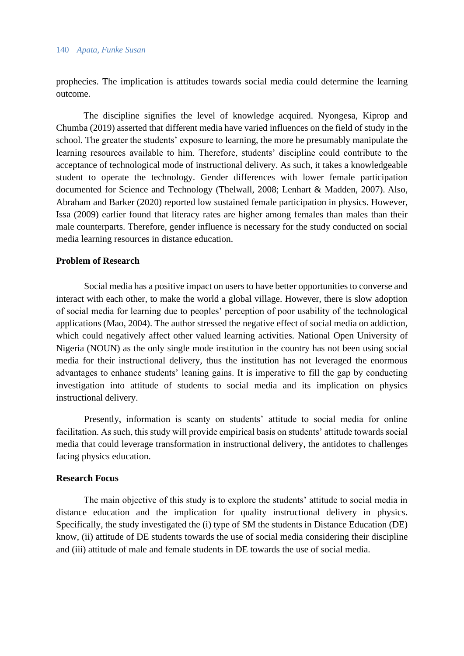#### 140 *Apata, Funke Susan*

prophecies. The implication is attitudes towards social media could determine the learning outcome.

The discipline signifies the level of knowledge acquired. Nyongesa, Kiprop and Chumba (2019) asserted that different media have varied influences on the field of study in the school. The greater the students' exposure to learning, the more he presumably manipulate the learning resources available to him. Therefore, students' discipline could contribute to the acceptance of technological mode of instructional delivery. As such, it takes a knowledgeable student to operate the technology. Gender differences with lower female participation documented for Science and Technology (Thelwall, 2008; Lenhart & Madden, 2007). Also, Abraham and Barker (2020) reported low sustained female participation in physics. However, Issa (2009) earlier found that literacy rates are higher among females than males than their male counterparts. Therefore, gender influence is necessary for the study conducted on social media learning resources in distance education.

# **Problem of Research**

Social media has a positive impact on users to have better opportunities to converse and interact with each other, to make the world a global village. However, there is slow adoption of social media for learning due to peoples' perception of poor usability of the technological applications (Mao, 2004). The author stressed the negative effect of social media on addiction, which could negatively affect other valued learning activities. National Open University of Nigeria (NOUN) as the only single mode institution in the country has not been using social media for their instructional delivery, thus the institution has not leveraged the enormous advantages to enhance students' leaning gains. It is imperative to fill the gap by conducting investigation into attitude of students to social media and its implication on physics instructional delivery.

Presently, information is scanty on students' attitude to social media for online facilitation. As such, this study will provide empirical basis on students' attitude towards social media that could leverage transformation in instructional delivery, the antidotes to challenges facing physics education.

# **Research Focus**

The main objective of this study is to explore the students' attitude to social media in distance education and the implication for quality instructional delivery in physics. Specifically, the study investigated the (i) type of SM the students in Distance Education (DE) know, (ii) attitude of DE students towards the use of social media considering their discipline and (iii) attitude of male and female students in DE towards the use of social media.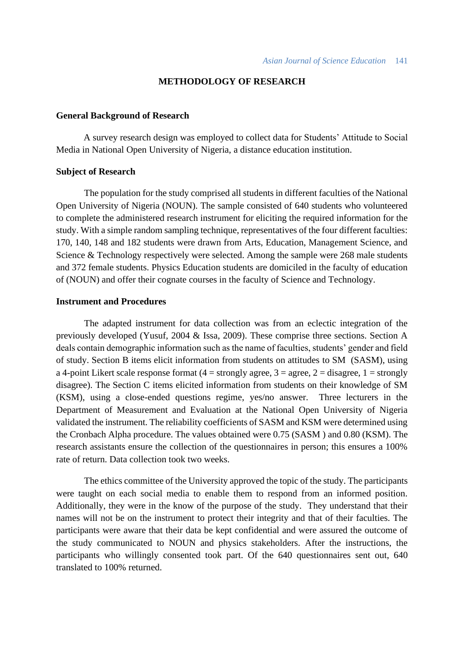# **METHODOLOGY OF RESEARCH**

### **General Background of Research**

A survey research design was employed to collect data for Students' Attitude to Social Media in National Open University of Nigeria, a distance education institution.

#### **Subject of Research**

The population for the study comprised all students in different faculties of the National Open University of Nigeria (NOUN). The sample consisted of 640 students who volunteered to complete the administered research instrument for eliciting the required information for the study. With a simple random sampling technique, representatives of the four different faculties: 170, 140, 148 and 182 students were drawn from Arts, Education, Management Science, and Science & Technology respectively were selected. Among the sample were 268 male students and 372 female students. Physics Education students are domiciled in the faculty of education of (NOUN) and offer their cognate courses in the faculty of Science and Technology.

### **Instrument and Procedures**

The adapted instrument for data collection was from an eclectic integration of the previously developed (Yusuf, 2004 & Issa, 2009). These comprise three sections. Section A deals contain demographic information such as the name of faculties, students' gender and field of study. Section B items elicit information from students on attitudes to SM (SASM), using a 4-point Likert scale response format  $(4 =$  strongly agree,  $3 =$  agree,  $2 =$  disagree,  $1 =$  strongly disagree). The Section C items elicited information from students on their knowledge of SM (KSM), using a close-ended questions regime, yes/no answer. Three lecturers in the Department of Measurement and Evaluation at the National Open University of Nigeria validated the instrument. The reliability coefficients of SASM and KSM were determined using the Cronbach Alpha procedure. The values obtained were 0.75 (SASM ) and 0.80 (KSM). The research assistants ensure the collection of the questionnaires in person; this ensures a 100% rate of return. Data collection took two weeks.

The ethics committee of the University approved the topic of the study. The participants were taught on each social media to enable them to respond from an informed position. Additionally, they were in the know of the purpose of the study. They understand that their names will not be on the instrument to protect their integrity and that of their faculties. The participants were aware that their data be kept confidential and were assured the outcome of the study communicated to NOUN and physics stakeholders. After the instructions, the participants who willingly consented took part. Of the 640 questionnaires sent out, 640 translated to 100% returned.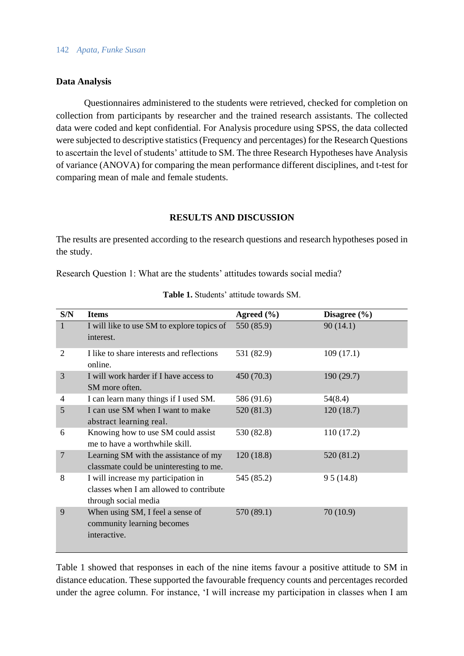# **Data Analysis**

Questionnaires administered to the students were retrieved, checked for completion on collection from participants by researcher and the trained research assistants. The collected data were coded and kept confidential. For Analysis procedure using SPSS, the data collected were subjected to descriptive statistics (Frequency and percentages) for the Research Questions to ascertain the level of students' attitude to SM. The three Research Hypotheses have Analysis of variance (ANOVA) for comparing the mean performance different disciplines, and t-test for comparing mean of male and female students.

# **RESULTS AND DISCUSSION**

The results are presented according to the research questions and research hypotheses posed in the study.

Research Question 1: What are the students' attitudes towards social media?

| S/N            | <b>Items</b>                                                                                           | Agreed $(\% )$ | Disagree $(\% )$ |
|----------------|--------------------------------------------------------------------------------------------------------|----------------|------------------|
| $\mathbf{1}$   | I will like to use SM to explore topics of<br>interest.                                                | 550 (85.9)     | 90(14.1)         |
| 2              | I like to share interests and reflections<br>online.                                                   | 531 (82.9)     | 109(17.1)        |
| 3              | I will work harder if I have access to<br>SM more often.                                               | 450 (70.3)     | 190(29.7)        |
| 4              | I can learn many things if I used SM.                                                                  | 586 (91.6)     | 54(8.4)          |
| 5              | I can use SM when I want to make<br>abstract learning real.                                            | 520 (81.3)     | 120(18.7)        |
| 6              | Knowing how to use SM could assist<br>me to have a worthwhile skill.                                   | 530 (82.8)     | 110(17.2)        |
| $\overline{7}$ | Learning SM with the assistance of my<br>classmate could be uninteresting to me.                       | 120(18.8)      | 520 (81.2)       |
| 8              | I will increase my participation in<br>classes when I am allowed to contribute<br>through social media | 545 (85.2)     | 95(14.8)         |
| 9              | When using SM, I feel a sense of<br>community learning becomes<br>interactive.                         | 570 (89.1)     | 70(10.9)         |

### **Table 1.** Students' attitude towards SM.

Table 1 showed that responses in each of the nine items favour a positive attitude to SM in distance education. These supported the favourable frequency counts and percentages recorded under the agree column. For instance, 'I will increase my participation in classes when I am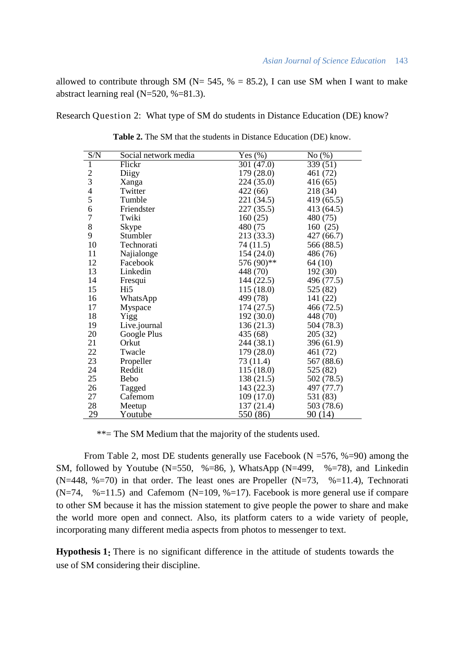allowed to contribute through SM ( $N = 545$ ,  $% = 85.2$ ), I can use SM when I want to make abstract learning real (N=520, %=81.3).

Research Question 2: What type of SM do students in Distance Education (DE) know?

| S/N            | Social network media | Yes $(\% )$            | No(%)      |
|----------------|----------------------|------------------------|------------|
| $\mathbf{1}$   | Flickr               | $30\overline{1(47.0)}$ | 339(51)    |
| $\frac{2}{3}$  | Diigy                | 179 (28.0)             | 461 (72)   |
|                | Xanga                | 224 (35.0)             | 416 (65)   |
| $rac{4}{5}$    | Twitter              | 422(66)                | 218 (34)   |
|                | Tumble               | 221 (34.5)             | 419 (65.5) |
| 6              | Friendster           | 227 (35.5)             | 413 (64.5) |
| $\overline{7}$ | Twiki                | 160(25)                | 480 (75)   |
| 8              | Skype                | 480 (75                | 160(25)    |
| 9              | Stumbler             | 213 (33.3)             | 427 (66.7) |
| 10             | Technorati           | 74 (11.5)              | 566 (88.5) |
| 11             | Najialonge           | 154(24.0)              | 486 (76)   |
| 12             | Facebook             | 576 (90)**             | 64 (10)    |
| 13             | Linkedin             | 448 (70)               | 192(30)    |
| 14             | Fresqui              | 144 (22.5)             | 496 (77.5) |
| 15             | Hi5                  | 115(18.0)              | 525 (82)   |
| 16             | WhatsApp             | 499 (78)               | 141 (22)   |
| 17             | Myspace              | 174(27.5)              | 466 (72.5) |
| 18             | Yigg                 | 192 (30.0)             | 448 (70)   |
| 19             | Live.journal         | 136 (21.3)             | 504 (78.3) |
| 20             | Google Plus          | 435 (68)               | 205 (32)   |
| 21             | Orkut                | 244 (38.1)             | 396 (61.9) |
| 22             | Twacle               | 179 (28.0)             | 461 (72)   |
| 23             | Propeller            | 73 (11.4)              | 567 (88.6) |
| 24             | Reddit               | 115 (18.0)             | 525 (82)   |
| 25             | Bebo                 | 138 (21.5)             | 502 (78.5) |
| 26             | Tagged               | 143 (22.3)             | 497 (77.7) |
| 27             | Cafemom              | 109 (17.0)             | 531 (83)   |
| 28             | Meetup               | 137 (21.4)             | 503 (78.6) |
| 29             | Youtube              | 550 (86)               | 90(14)     |

**Table 2.** The SM that the students in Distance Education (DE) know.

\*\*= The SM Medium that the majority of the students used.

From Table 2, most DE students generally use Facebook ( $N = 576$ , %=90) among the SM, followed by Youtube (N=550, %=86, ), WhatsApp (N=499, %=78), and Linkedin (N=448, %=70) in that order. The least ones are Propeller (N=73, %=11.4), Technorati  $(N=74, %=11.5)$  and Cafemom  $(N=109, %=17)$ . Facebook is more general use if compare to other SM because it has the mission statement to give people the power to share and make the world more open and connect. Also, its platform caters to a wide variety of people, incorporating many different media aspects from photos to messenger to text.

**Hypothesis 1:** There is no significant difference in the attitude of students towards the use of SM considering their discipline.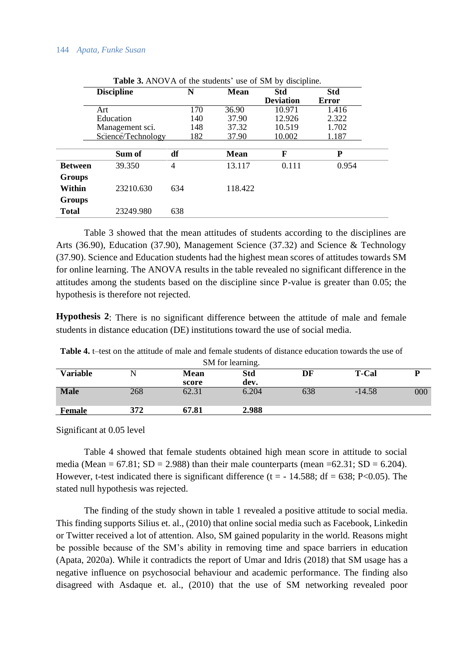#### 144 *Apata, Funke Susan*

|                | <b>THOIC</b> OF THIS TIX OF THE BRUCHTIS GOU OF DIST OF GISCIPILITY. |     |             |                  |       |  |
|----------------|----------------------------------------------------------------------|-----|-------------|------------------|-------|--|
|                | <b>Discipline</b>                                                    | N   | <b>Mean</b> | <b>Std</b>       | Std   |  |
|                |                                                                      |     |             | <b>Deviation</b> | Error |  |
|                | Art                                                                  | 170 | 36.90       | 10.971           | 1.416 |  |
|                | Education                                                            | 140 | 37.90       | 12.926           | 2.322 |  |
|                | Management sci.                                                      | 148 | 37.32       | 10.519           | 1.702 |  |
|                | Science/Technology                                                   | 182 | 37.90       | 10.002           | 1.187 |  |
|                |                                                                      |     |             |                  |       |  |
|                | Sum of                                                               | df  | Mean        | F                | P     |  |
| <b>Between</b> | 39.350                                                               | 4   | 13.117      | 0.111            | 0.954 |  |
| <b>Groups</b>  |                                                                      |     |             |                  |       |  |
| Within         | 23210.630                                                            | 634 | 118.422     |                  |       |  |
| <b>Groups</b>  |                                                                      |     |             |                  |       |  |
| <b>Total</b>   | 23249.980                                                            | 638 |             |                  |       |  |

**Table 3.** ANOVA of the students' use of SM by discipline.

Table 3 showed that the mean attitudes of students according to the disciplines are Arts (36.90), Education (37.90), Management Science (37.32) and Science & Technology (37.90). Science and Education students had the highest mean scores of attitudes towards SM for online learning. The ANOVA results in the table revealed no significant difference in the attitudes among the students based on the discipline since P-value is greater than 0.05; the hypothesis is therefore not rejected.

**Hypothesis 2**: There is no significant difference between the attitude of male and female students in distance education (DE) institutions toward the use of social media.

| SM for learning. |     |                      |             |     |              |     |
|------------------|-----|----------------------|-------------|-----|--------------|-----|
| <b>Variable</b>  |     | <b>Mean</b><br>score | Std<br>dev. | DF  | <b>T-Cal</b> | D   |
| <b>Male</b>      | 268 | 62.31                | 6.204       | 638 | $-14.58$     | 000 |
| Female           | 372 | 67.81                | 2.988       |     |              |     |
|                  |     |                      |             |     |              |     |

**Table 4.** t–test on the attitude of male and female students of distance education towards the use of  $SMC<sub>1</sub>$   $\cdots$ 

Significant at 0.05 level

Table 4 showed that female students obtained high mean score in attitude to social media (Mean =  $67.81$ ; SD = 2.988) than their male counterparts (mean = $62.31$ ; SD =  $6.204$ ). However, t-test indicated there is significant difference (t =  $-14.588$ ; df = 638; P<0.05). The stated null hypothesis was rejected.

The finding of the study shown in table 1 revealed a positive attitude to social media. This finding supports Silius et. al., (2010) that online social media such as Facebook, Linkedin or Twitter received a lot of attention. Also, SM gained popularity in the world. Reasons might be possible because of the SM's ability in removing time and space barriers in education (Apata, 2020a). While it contradicts the report of Umar and Idris (2018) that SM usage has a negative influence on psychosocial behaviour and academic performance. The finding also disagreed with Asdaque et. al., (2010) that the use of SM networking revealed poor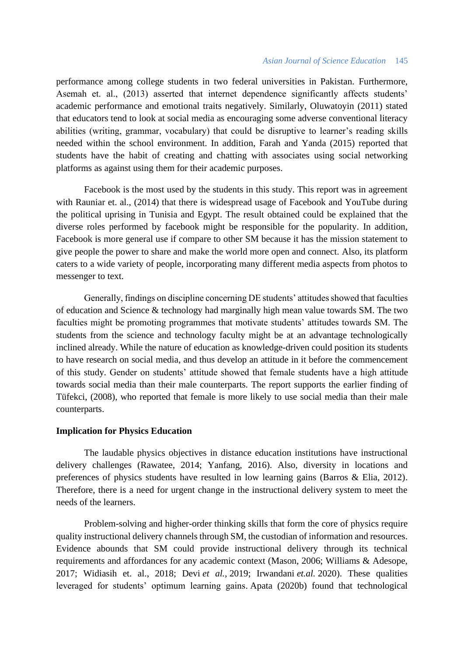### *Asian Journal of Science Education* 145

performance among college students in two federal universities in Pakistan. Furthermore, Asemah et. al., (2013) asserted that internet dependence significantly affects students' academic performance and emotional traits negatively. Similarly, Oluwatoyin (2011) stated that educators tend to look at social media as encouraging some adverse conventional literacy abilities (writing, grammar, vocabulary) that could be disruptive to learner's reading skills needed within the school environment. In addition, Farah and Yanda (2015) reported that students have the habit of creating and chatting with associates using social networking platforms as against using them for their academic purposes.

Facebook is the most used by the students in this study. This report was in agreement with Rauniar et. al., (2014) that there is widespread usage of Facebook and YouTube during the political uprising in Tunisia and Egypt. The result obtained could be explained that the diverse roles performed by facebook might be responsible for the popularity. In addition, Facebook is more general use if compare to other SM because it has the mission statement to give people the power to share and make the world more open and connect. Also, its platform caters to a wide variety of people, incorporating many different media aspects from photos to messenger to text.

Generally, findings on discipline concerning DE students' attitudes showed that faculties of education and Science & technology had marginally high mean value towards SM. The two faculties might be promoting programmes that motivate students' attitudes towards SM. The students from the science and technology faculty might be at an advantage technologically inclined already. While the nature of education as knowledge-driven could position its students to have research on social media, and thus develop an attitude in it before the commencement of this study. Gender on students' attitude showed that female students have a high attitude towards social media than their male counterparts. The report supports the earlier finding of Tüfekci, (2008), who reported that female is more likely to use social media than their male counterparts.

### **Implication for Physics Education**

The laudable physics objectives in distance education institutions have instructional delivery challenges (Rawatee, 2014; Yanfang, 2016). Also, diversity in locations and preferences of physics students have resulted in low learning gains (Barros & Elia, 2012). Therefore, there is a need for urgent change in the instructional delivery system to meet the needs of the learners.

Problem-solving and higher-order thinking skills that form the core of physics require quality instructional delivery channels through SM, the custodian of information and resources. Evidence abounds that SM could provide instructional delivery through its technical requirements and affordances for any academic context (Mason, 2006; Williams & Adesope, 2017; Widiasih et. al., 2018; Devi *et al.,* 2019; Irwandani *et.al.* 2020). These qualities leveraged for students' optimum learning gains. Apata (2020b) found that technological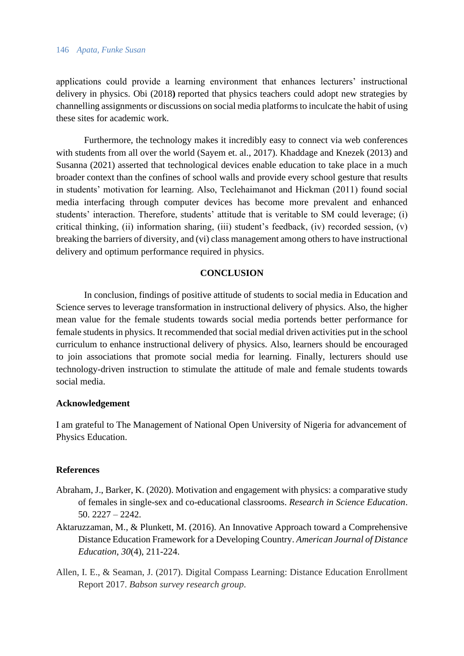#### 146 *Apata, Funke Susan*

applications could provide a learning environment that enhances lecturers' instructional delivery in physics. Obi (2018**)** reported that physics teachers could adopt new strategies by channelling assignments or discussions on social media platforms to inculcate the habit of using these sites for academic work.

Furthermore, the technology makes it incredibly easy to connect via web conferences with students from all over the world (Sayem et. al., 2017). Khaddage and Knezek (2013) and Susanna (2021) asserted that technological devices enable education to take place in a much broader context than the confines of school walls and provide every school gesture that results in students' motivation for learning. Also, Teclehaimanot and Hickman (2011) found social media interfacing through computer devices has become more prevalent and enhanced students' interaction. Therefore, students' attitude that is veritable to SM could leverage; (i) critical thinking, (ii) information sharing, (iii) student's feedback, (iv) recorded session, (v) breaking the barriers of diversity, and (vi) class management among others to have instructional delivery and optimum performance required in physics.

### **CONCLUSION**

In conclusion, findings of positive attitude of students to social media in Education and Science serves to leverage transformation in instructional delivery of physics. Also, the higher mean value for the female students towards social media portends better performance for female students in physics. It recommended that social medial driven activities put in the school curriculum to enhance instructional delivery of physics. Also, learners should be encouraged to join associations that promote social media for learning. Finally, lecturers should use technology-driven instruction to stimulate the attitude of male and female students towards social media.

### **Acknowledgement**

I am grateful to The Management of National Open University of Nigeria for advancement of Physics Education.

### **References**

- Abraham, J., Barker, K. (2020). Motivation and engagement with physics: a comparative study of females in single-sex and co-educational classrooms. *Research in Science Education*. 50. 2227 – 2242.
- Aktaruzzaman, M., & Plunkett, M. (2016). An Innovative Approach toward a Comprehensive Distance Education Framework for a Developing Country. *American Journal of Distance Education*, *30*(4), 211-224.
- Allen, I. E., & Seaman, J. (2017). Digital Compass Learning: Distance Education Enrollment Report 2017. *Babson survey research group*.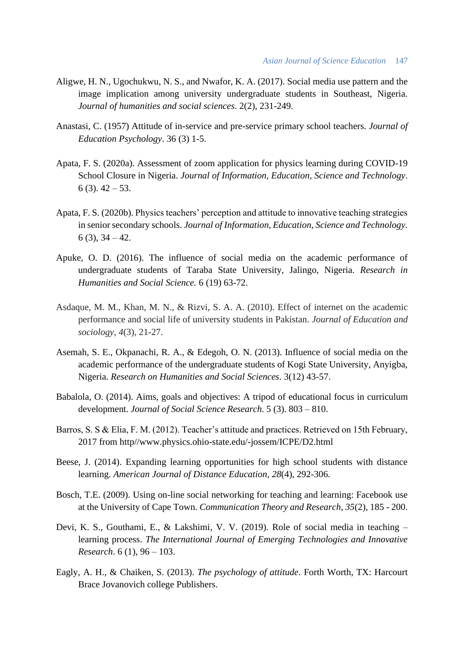- Aligwe, H. N., Ugochukwu, N. S., and Nwafor, K. A. (2017). Social media use pattern and the image implication among university undergraduate students in Southeast, Nigeria. *Journal of humanities and social sciences*. 2(2), 231-249.
- Anastasi, C. (1957) Attitude of in-service and pre-service primary school teachers. *Journal of Education Psychology*. 36 (3) 1-5.
- Apata, F. S. (2020a). Assessment of zoom application for physics learning during COVID-19 School Closure in Nigeria. *Journal of Information, Education, Science and Technology*.  $6$  (3).  $42 - 53$ .
- Apata, F. S. (2020b). Physics teachers' perception and attitude to innovative teaching strategies in senior secondary schools. *Journal of Information, Education, Science and Technology.*  $6(3)$ ,  $34-42$ .
- Apuke, O. D. (2016). The influence of social media on the academic performance of undergraduate students of Taraba State University, Jalingo, Nigeria. *Research in Humanities and Social Science.* 6 (19) 63-72.
- Asdaque, M. M., Khan, M. N., & Rizvi, S. A. A. (2010). Effect of internet on the academic performance and social life of university students in Pakistan. *Journal of Education and sociology*, *4*(3), 21-27.
- Asemah, S. E., Okpanachi, R. A., & Edegoh, O. N. (2013). Influence of social media on the academic performance of the undergraduate students of Kogi State University, Anyigba, Nigeria. *Research on Humanities and Social Sciences*. 3(12) 43-57.
- Babalola, O. (2014). Aims, goals and objectives: A tripod of educational focus in curriculum development. *Journal of Social Science Research*. 5 (3). 803 – 810.
- Barros, S. S & Elia, F. M. (2012). Teacher's attitude and practices. Retrieved on 15th February, 2017 from http//www.physics.ohio-state.edu/-jossem/ICPE/D2.html
- Beese, J. (2014). Expanding learning opportunities for high school students with distance learning. *American Journal of Distance Education*, *28*(4), 292-306.
- Bosch, T.E. (2009). Using on-line social networking for teaching and learning: Facebook use at the University of Cape Town. *Communication Theory and Research, 35*(2), 185 - 200.
- Devi, K. S., Gouthami, E., & Lakshimi, V. V. (2019). Role of social media in teaching learning process. *The International Journal of Emerging Technologies and Innovative Research*. 6 (1), 96 – 103.
- Eagly, A. H., & Chaiken, S. (2013). *The psychology of attitude*. Forth Worth, TX: Harcourt Brace Jovanovich college Publishers.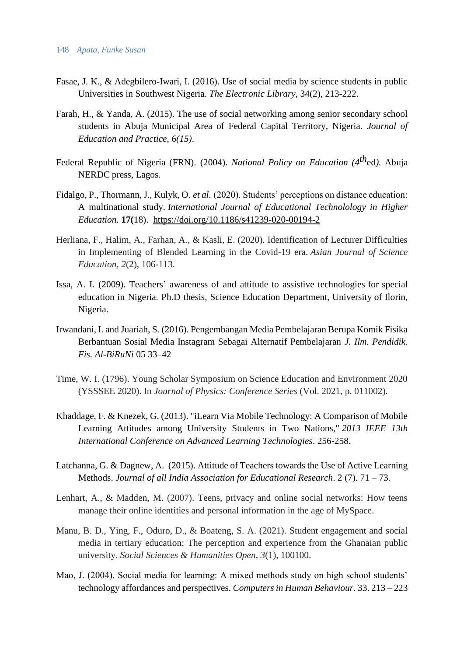- Fasae, J. K., & Adegbilero-Iwari, I. (2016). Use of social media by science students in public Universities in Southwest Nigeria. *The Electronic Library*, 34(2), 213-222.
- Farah, H., & Yanda, A. (2015). The use of social networking among senior secondary school students in Abuja Municipal Area of Federal Capital Territory, Nigeria. *Journal of Education and Practice, 6(15)*.
- Federal Republic of Nigeria (FRN). (2004). *National Policy on Education (4 th*ed*).* Abuja NERDC press, Lagos.
- Fidalgo, P., Thormann, J., Kulyk, O. *et al.* (2020). Students' perceptions on distance education: A multinational study. *International Journal of Educational Technolology in Higher Education.* **17(**18). <https://doi.org/10.1186/s41239-020-00194-2>
- Herliana, F., Halim, A., Farhan, A., & Kasli, E. (2020). Identification of Lecturer Difficulties in Implementing of Blended Learning in the Covid-19 era. *Asian Journal of Science Education*, *2*(2), 106-113.
- Issa, A. I. (2009). Teachers' awareness of and attitude to assistive technologies for special education in Nigeria. Ph.D thesis, Science Education Department, University of Ilorin, Nigeria.
- Irwandani, I. and Juariah, S. (2016). Pengembangan Media Pembelajaran Berupa Komik Fisika Berbantuan Sosial Media Instagram Sebagai Alternatif Pembelajaran *J. Ilm. Pendidik. Fis. Al-BiRuNi* 05 33–42
- Time, W. I. (1796). Young Scholar Symposium on Science Education and Environment 2020 (YSSSEE 2020). In *Journal of Physics: Conference Series* (Vol. 2021, p. 011002).
- Khaddage, F. & Knezek, G. (2013). "iLearn Via Mobile Technology: A Comparison of Mobile Learning Attitudes among University Students in Two Nations," *2013 IEEE 13th International Conference on Advanced Learning Technologies*. 256-258.
- Latchanna, G. & Dagnew, A. (2015). Attitude of Teachers towards the Use of Active Learning Methods. *Journal of all India Association for Educational Research*. 2 (7). 71 – 73.
- Lenhart, A., & Madden, M. (2007). Teens, privacy and online social networks: How teens manage their online identities and personal information in the age of MySpace.
- Manu, B. D., Ying, F., Oduro, D., & Boateng, S. A. (2021). Student engagement and social media in tertiary education: The perception and experience from the Ghanaian public university. *Social Sciences & Humanities Open*, *3*(1), 100100.
- Mao, J. (2004). Social media for learning: A mixed methods study on high school students' technology affordances and perspectives. *Computers in Human Behaviour*. 33. 213 – 223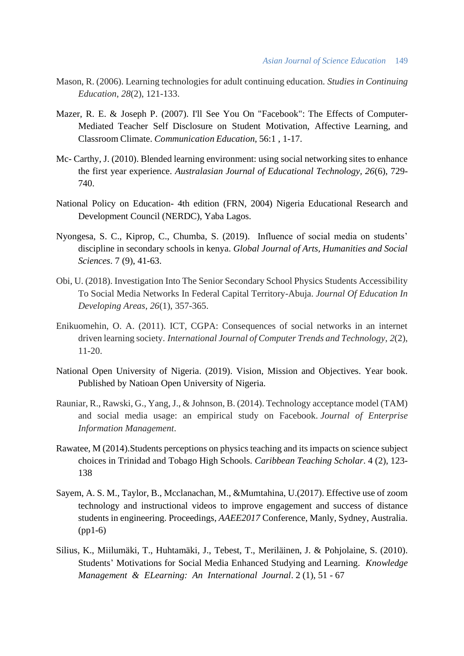- Mason, R. (2006). Learning technologies for adult continuing education. *Studies in Continuing Education*, *28*(2), 121-133.
- Mazer, R. E. & Joseph P. (2007). I'll See You On "Facebook": The Effects of Computer-Mediated Teacher Self Disclosure on Student Motivation, Affective Learning, and Classroom Climate. *Communication Education*, 56:1 , 1-17.
- Mc- Carthy, J. (2010). Blended learning environment: using social networking sites to enhance the first year experience. *Australasian Journal of Educational Technology, 26*(6), 729- 740.
- National Policy on Education- 4th edition (FRN, 2004) Nigeria Educational Research and Development Council (NERDC), Yaba Lagos.
- Nyongesa, S. C., Kiprop, C., Chumba, S. (2019). Influence of social media on students' discipline in secondary schools in kenya. *Global Journal of Arts, Humanities and Social Sciences*. 7 (9), 41-63.
- Obi, U. (2018). Investigation Into The Senior Secondary School Physics Students Accessibility To Social Media Networks In Federal Capital Territory-Abuja. *Journal Of Education In Developing Areas*, *26*(1), 357-365.
- Enikuomehin, O. A. (2011). ICT, CGPA: Consequences of social networks in an internet driven learning society. *International Journal of Computer Trends and Technology*, *2*(2), 11-20.
- National Open University of Nigeria. (2019). Vision, Mission and Objectives. Year book. Published by Natioan Open University of Nigeria.
- Rauniar, R., Rawski, G., Yang, J., & Johnson, B. (2014). Technology acceptance model (TAM) and social media usage: an empirical study on Facebook. *Journal of Enterprise Information Management*.
- Rawatee, M (2014).Students perceptions on physics teaching and its impacts on science subject choices in Trinidad and Tobago High Schools. *Caribbean Teaching Scholar*. 4 (2), 123- 138
- Sayem, A. S. M., Taylor, B., Mcclanachan, M., &Mumtahina, U.(2017). Effective use of zoom technology and instructional videos to improve engagement and success of distance students in engineering. Proceedings, *AAEE2017* Conference, Manly, Sydney, Australia. (pp1-6)
- Silius, K., Miilumäki, T., Huhtamäki, J., Tebest, T., Meriläinen, J. & Pohjolaine, S. (2010). Students' Motivations for Social Media Enhanced Studying and Learning. *Knowledge Management & ELearning: An International Journal*. 2 (1), 51 - 67